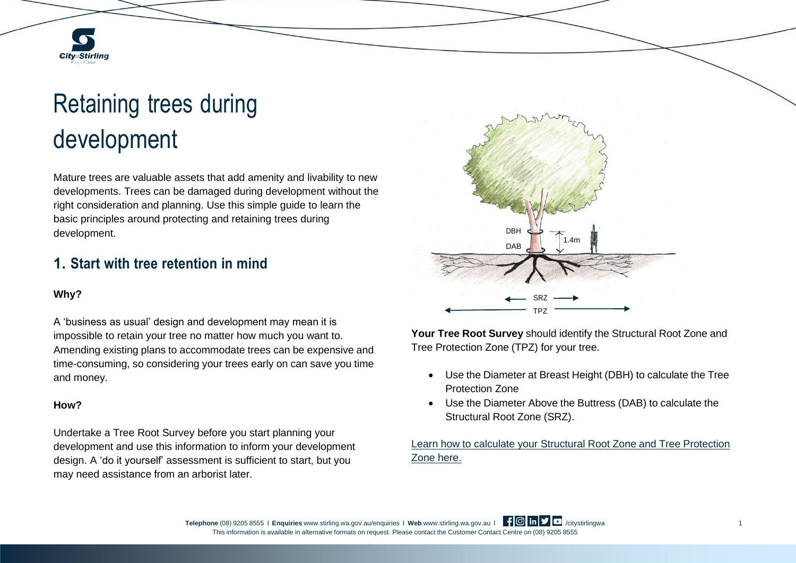# Retaining trees during development

Mature trees are valuable assets that add amenity and livability to new developments. Trees can be damaged during development without the right consideration and planning. Use this simple guide to learn the basic principles around protecting and retaining trees during development.

## **1. Start with tree retention in mind**

## **Why?**

**City**<sub>of</sub>Stirling

A 'business as usual' design and development may mean it is impossible to retain your tree no matter how much you want to. Amending existing plans to accommodate trees can be expensive and time-consuming, so considering your trees early on can save you time and money.

#### **How?**

Undertake a Tree Root Survey before you start planning your development and use this information to inform your development design. A 'do it yourself' assessment is sufficient to start, but you may need assistance from an arborist later.



**Your Tree Root Survey** should identify the Structural Root Zone and Tree Protection Zone (TPZ) for your tree.

- Use the Diameter at Breast Height (DBH) to calculate the Tree Protection Zone
- Use the Diameter Above the Buttress (DAB) to calculate the Structural Root Zone (SRZ).

Learn how to calculate your Structural Root Zone and Tree [Protection](https://as4970calculator.web.app/) Zone [here.](https://as4970calculator.web.app/)

**Telephone** (08) 9205 8555 I **Enquiries** [www.stirling.wa.gov.au/enquiries](http://www.stirling.wa.gov.au/enquiries) I Web [www.stirling.wa.gov.au](http://www.stirling.wa.gov.au/) I | | 0 | **in** | | citystirlingwa 1 This information is available in alternative formats on request. Please contact the Customer Contact Centre on (08) 9205 8555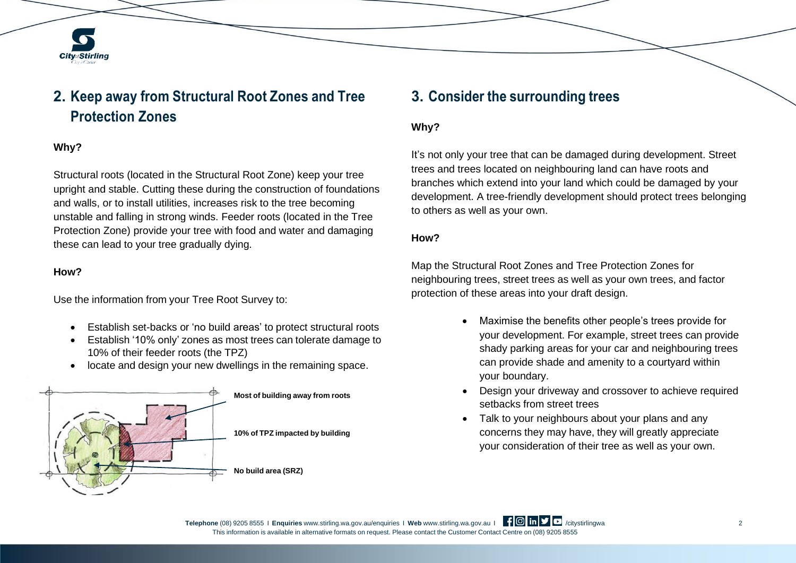

# **2. Keep away from Structural Root Zones and Tree Protection Zones**

## **Why?**

Structural roots (located in the Structural Root Zone) keep your tree upright and stable. Cutting these during the construction of foundations and walls, or to install utilities, increases risk to the tree becoming unstable and falling in strong winds. Feeder roots (located in the Tree Protection Zone) provide your tree with food and water and damaging these can lead to your tree gradually dying.

### **How?**

Use the information from your Tree Root Survey to:

- Establish set-backs or 'no build areas' to protect structural roots
- Establish '10% only' zones as most trees can tolerate damage to 10% of their feeder roots (the TPZ)
- locate and design your new dwellings in the remaining space.



## **3. Consider the surrounding trees**

### **Why?**

It's not only your tree that can be damaged during development. Street trees and trees located on neighbouring land can have roots and branches which extend into your land which could be damaged by your development. A tree-friendly development should protect trees belonging to others as well as your own.

#### **How?**

Map the Structural Root Zones and Tree Protection Zones for neighbouring trees, street trees as well as your own trees, and factor protection of these areas into your draft design.

- Maximise the benefits other people's trees provide for your development. For example, street trees can provide shady parking areas for your car and neighbouring trees can provide shade and amenity to a courtyard within your boundary.
- Design your driveway and crossover to achieve required setbacks from street trees
- Talk to your neighbours about your plans and any concerns they may have, they will greatly appreciate your consideration of their tree as well as your own.

**Telephone** (08) 9205 8555 I **Enquiries** [www.stirling.wa.gov.au/enquiries](http://www.stirling.wa.gov.au/enquiries) I Web [www.stirling.wa.gov.au](http://www.stirling.wa.gov.au/) I **| 0 in | 2** /citystirlingwa 2 2 This information is available in alternative formats on request. Please contact the Customer Contact Centre on (08) 9205 8555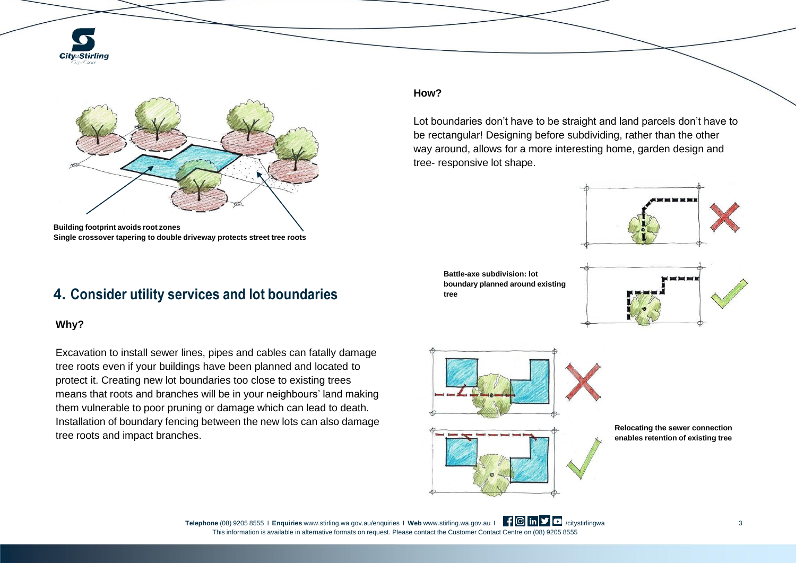



**Single crossover tapering to double driveway protects street tree roots**

## **4. Consider utility services and lot boundaries**

### **Why?**

Excavation to install sewer lines, pipes and cables can fatally damage tree roots even if your buildings have been planned and located to protect it. Creating new lot boundaries too close to existing trees means that roots and branches will be in your neighbours' land making them vulnerable to poor pruning or damage which can lead to death. Installation of boundary fencing between the new lots can also damage tree roots and impact branches.

#### **How?**

Lot boundaries don't have to be straight and land parcels don't have to be rectangular! Designing before subdividing, rather than the other way around, allows for a more interesting home, garden design and tree- responsive lot shape.



**Battle-axe subdivision: lot boundary planned around existing tree**





**Relocating the sewer connection enables retention of existing tree**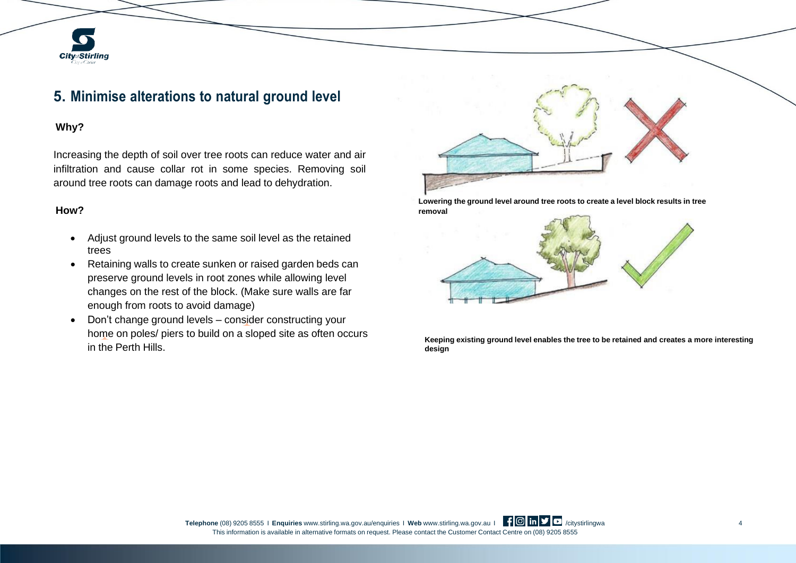# **5. Minimise alterations to natural ground level**

#### **Why?**

**City**<sub>of</sub>Stirling

Increasing the depth of soil over tree roots can reduce water and air infiltration and cause collar rot in some species. Removing soil around tree roots can damage roots and lead to dehydration.

#### **How?**

- Adjust ground levels to the same soil level as the retained trees
- Retaining walls to create sunken or raised garden beds can preserve ground levels in root zones while allowing level changes on the rest of the block. (Make sure walls are far enough from roots to avoid damage)
- Don't change ground levels consider constructing your home on poles/ piers to build on a sloped site as often occurs in the Perth Hills.



**Lowering the ground level around tree roots to create a level block results in tree removal**

![](_page_3_Picture_9.jpeg)

**Keeping existing ground level enables the tree to be retained and creates a more interesting design**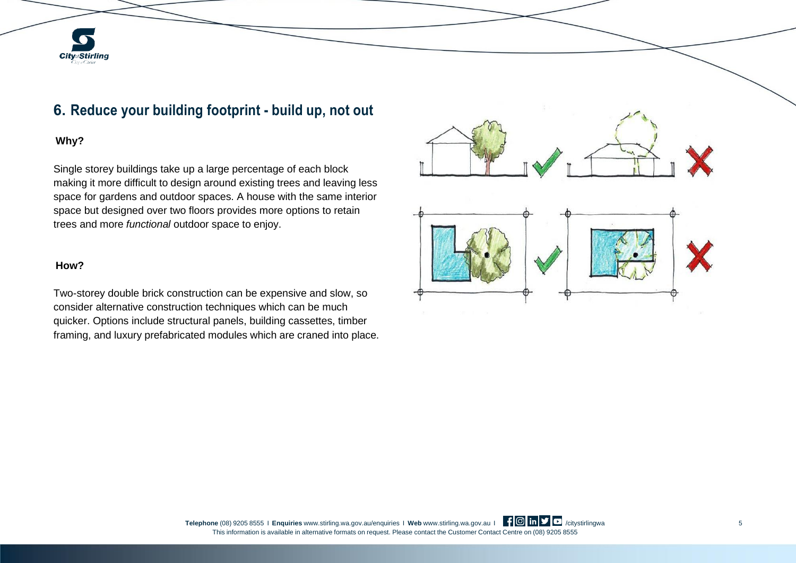# **City**<sub>of</sub>Stirling

# **6. Reduce your building footprint - build up, not out**

## **Why?**

Single storey buildings take up a large percentage of each block making it more difficult to design around existing trees and leaving less space for gardens and outdoor spaces. A house with the same interior space but designed over two floors provides more options to retain trees and more *functional* outdoor space to enjoy.

#### **How?**

Two-storey double brick construction can be expensive and slow, so consider alternative construction techniques which can be much quicker. Options include structural panels, building cassettes, timber framing, and luxury prefabricated modules which are craned into place.

![](_page_4_Figure_6.jpeg)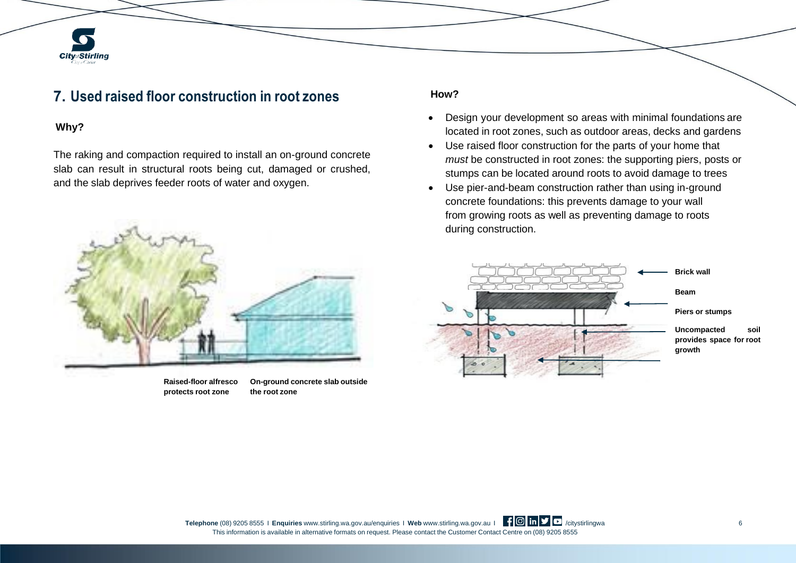## **7. Used raised floor construction in root zones**

#### **Why?**

**City**<sub>of</sub>Stirling

The raking and compaction required to install an on-ground concrete slab can result in structural roots being cut, damaged or crushed, and the slab deprives feeder roots of water and oxygen.

![](_page_5_Picture_3.jpeg)

**protects root zone the root zone**

**Raised-floor alfresco On-ground concrete slab outside**

#### **How?**

- Design your development so areas with minimal foundations are located in root zones, such as outdoor areas, decks and gardens
- Use raised floor construction for the parts of your home that *must* be constructed in root zones: the supporting piers, posts or stumps can be located around roots to avoid damage to trees
- Use pier-and-beam construction rather than using in-ground concrete foundations: this prevents damage to your wall from growing roots as well as preventing damage to roots during construction.

![](_page_5_Figure_10.jpeg)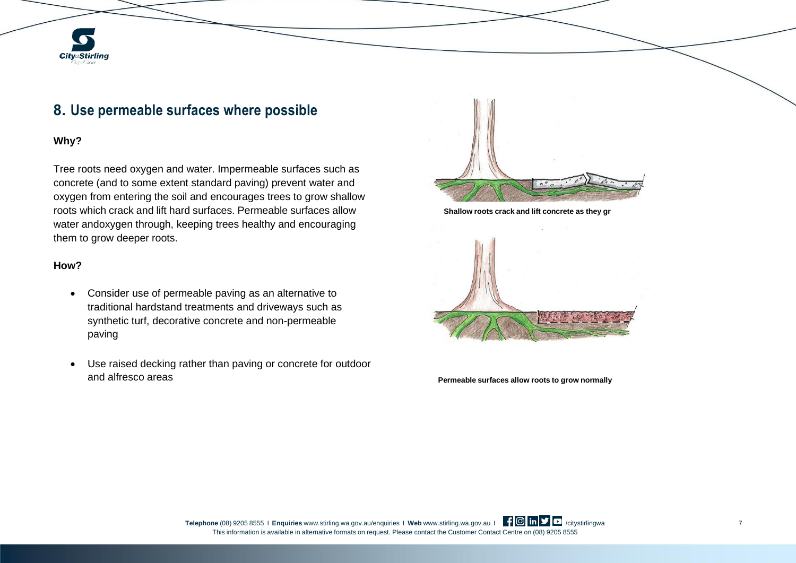# **City**<sub>of</sub>Stirling

# **8. Use permeable surfaces where possible**

## **Why?**

Tree roots need oxygen and water. Impermeable surfaces such as concrete (and to some extent standard paving) prevent water and oxygen from entering the soil and encourages trees to grow shallow roots which crack and lift hard surfaces. Permeable surfaces allow water andoxygen through, keeping trees healthy and encouraging them to grow deeper roots.

#### **How?**

- Consider use of permeable paving as an alternative to traditional hardstand treatments and driveways such as synthetic turf, decorative concrete and non-permeable paving
- Use raised decking rather than paving or concrete for outdoor and alfresco areas **Permeable surfaces allow roots to grow normally**

![](_page_6_Picture_7.jpeg)

**Shallow roots crack and lift concrete as they gr**

![](_page_6_Picture_9.jpeg)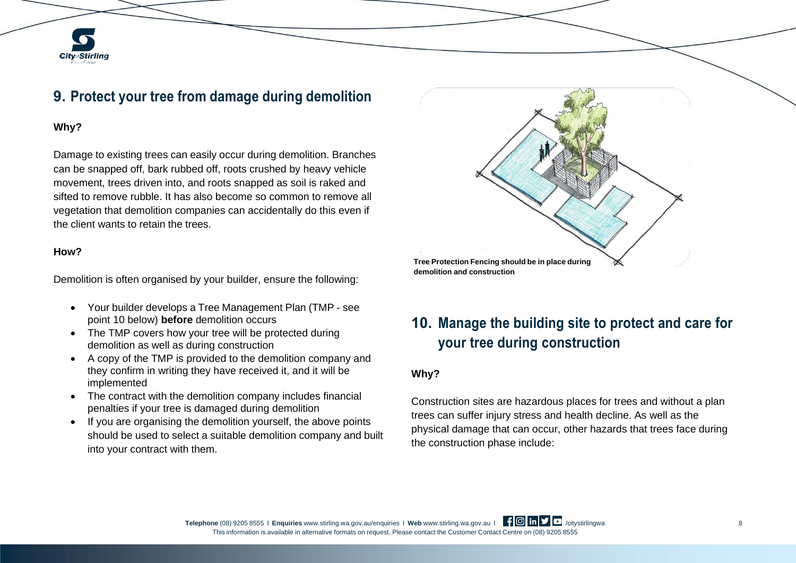# **9. Protect your tree from damage during demolition**

#### **Why?**

**City**<sub>of</sub>Stirling

Damage to existing trees can easily occur during demolition. Branches can be snapped off, bark rubbed off, roots crushed by heavy vehicle movement, trees driven into, and roots snapped as soil is raked and sifted to remove rubble. It has also become so common to remove all vegetation that demolition companies can accidentally do this even if the client wants to retain the trees.

#### **How?**

Demolition is often organised by your builder, ensure the following:

- Your builder develops a Tree Management Plan (TMP see point 10 below) **before** demolition occurs
- The TMP covers how your tree will be protected during demolition as well as during construction
- A copy of the TMP is provided to the demolition company and they confirm in writing they have received it, and it will be implemented
- The contract with the demolition company includes financial penalties if your tree is damaged during demolition
- If you are organising the demolition yourself, the above points should be used to select a suitable demolition company and built into your contract with them.

![](_page_7_Figure_10.jpeg)

# **10. Manage the building site to protect and care for your tree during construction**

## **Why?**

Construction sites are hazardous places for trees and without a plan trees can suffer injury stress and health decline. As well as the physical damage that can occur, other hazards that trees face during the construction phase include: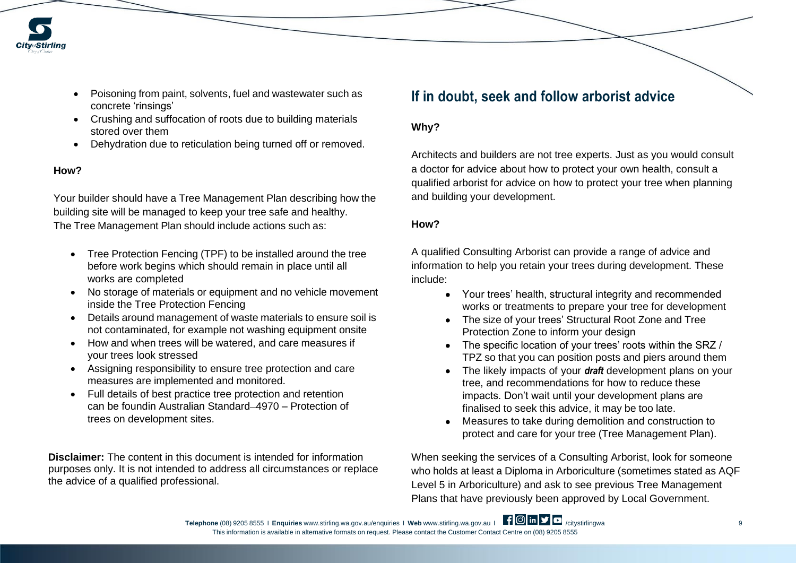![](_page_8_Picture_0.jpeg)

- Poisoning from paint, solvents, fuel and wastewater such as concrete 'rinsings'
- Crushing and suffocation of roots due to building materials stored over them
- Dehydration due to reticulation being turned off or removed.

### **How?**

Your builder should have a Tree Management Plan describing how the building site will be managed to keep your tree safe and healthy. The Tree Management Plan should include actions such as:

- Tree Protection Fencing (TPF) to be installed around the tree before work begins which should remain in place until all works are completed
- No storage of materials or equipment and no vehicle movement inside the Tree Protection Fencing
- Details around management of waste materials to ensure soil is not contaminated, for example not washing equipment onsite
- How and when trees will be watered, and care measures if your trees look stressed
- Assigning responsibility to ensure tree protection and care measures are implemented and monitored.
- Full details of best practice tree protection and retention can be foundin Australian Standard-4970 – Protection of trees on development sites.

**Disclaimer:** The content in this document is intended for information purposes only. It is not intended to address all circumstances or replace the advice of a qualified professional.

## **If in doubt, seek and follow arborist advice**

#### **Why?**

Architects and builders are not tree experts. Just as you would consult a doctor for advice about how to protect your own health, consult a qualified arborist for advice on how to protect your tree when planning and building your development.

#### **How?**

A qualified Consulting Arborist can provide a range of advice and information to help you retain your trees during development. These include:

- Your trees' health, structural integrity and recommended works or treatments to prepare your tree for development
- The size of your trees' Structural Root Zone and Tree Protection Zone to inform your design
- The specific location of your trees' roots within the SRZ / TPZ so that you can position posts and piers around them
- The likely impacts of your *draft* development plans on your tree, and recommendations for how to reduce these impacts. Don't wait until your development plans are finalised to seek this advice, it may be too late.
- Measures to take during demolition and construction to protect and care for your tree (Tree Management Plan).

When seeking the services of a Consulting Arborist, look for someone who holds at least a Diploma in Arboriculture (sometimes stated as AQF Level 5 in Arboriculture) and ask to see previous Tree Management Plans that have previously been approved by Local Government.

**Telephone** (08) 9205 8555 I **Enquiries** [www.stirling.wa.gov.au/enquiries](http://www.stirling.wa.gov.au/enquiries) I Web [www.stirling.wa.gov.au](http://www.stirling.wa.gov.au/) I **f © in V** C /citystirlingwa 9 This information is available in alternative formats on request. Please contact the Customer Contact Centre on (08) 9205 8555